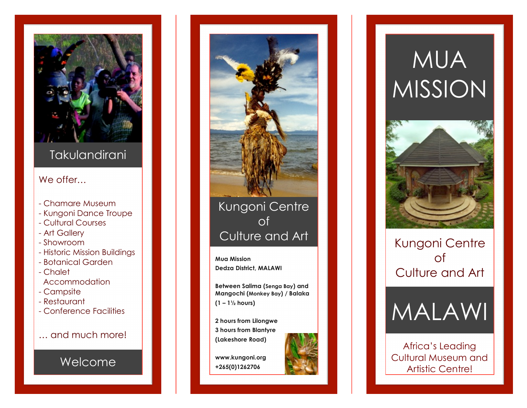

### **Takulandirani**

#### We offer…

- Chamare Museum
- Kungoni Dance Troupe
- Cultural Courses
- Art Gallery
- Showroom
- Historic Mission Buildings
- Botanical Garden
- Chalet
- Accommodation
- Campsite
- Restaurant
- Conference Facilities
- … and much more!

### Welcome



Kungoni Centre of Culture and Art

**Mua Mission Dedza District, MALAWI**

**Between Salima (Senga Bay) and Mangochi (Monkey Bay) / Balaka (1 – 1 ½ hours)**

**2 hours from Lilongwe 3 hours from Blantyre (Lakeshore Road)**



**www.kungoni.org +265(0)1262706**

# MUA MISSION



Kungoni Centre of Culture and Art



Africa's Leading Cultural Museum and Artistic Centre!